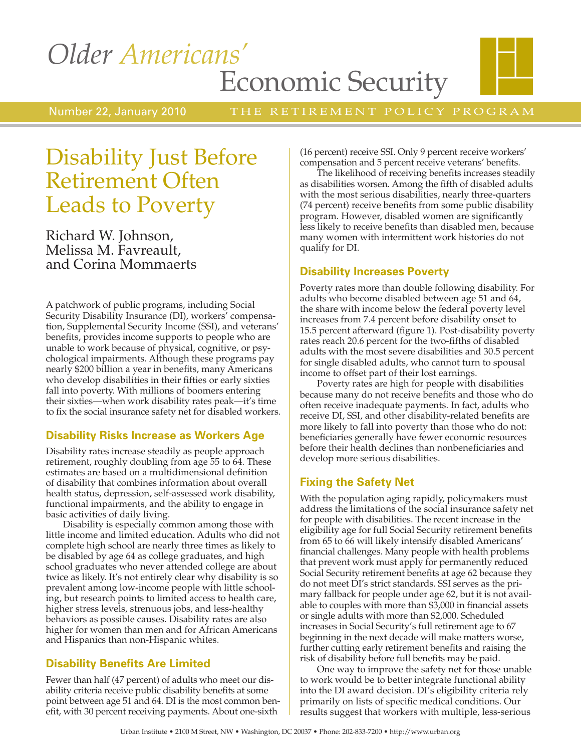# *Older Americans'* Economic Security



THE RETIREMENT POLICY PROGRAM

# Disability Just Before Retirement Often Leads to Poverty

Richard W. Johnson, Melissa M. Favreault, and Corina Mommaerts

A patchwork of public programs, including Social Security Disability Insurance (DI), workers' compensation, Supplemental Security Income (SSI), and veterans' benefits, provides income supports to people who are unable to work because of physical, cognitive, or psychological impairments. Although these programs pay nearly \$200 billion a year in benefits, many Americans who develop disabilities in their fifties or early sixties fall into poverty. With millions of boomers entering their sixties—when work disability rates peak—it's time to fix the social insurance safety net for disabled workers.

### **Disability Risks Increase as Workers Age**

Disability rates increase steadily as people approach retirement, roughly doubling from age 55 to 64. These estimates are based on a multidimensional definition of disability that combines information about overall health status, depression, self-assessed work disability, functional impairments, and the ability to engage in basic activities of daily living.

Disability is especially common among those with little income and limited education. Adults who did not complete high school are nearly three times as likely to be disabled by age 64 as college graduates, and high school graduates who never attended college are about twice as likely. It's not entirely clear why disability is so prevalent among low-income people with little schooling, but research points to limited access to health care, higher stress levels, strenuous jobs, and less-healthy behaviors as possible causes. Disability rates are also higher for women than men and for African Americans and Hispanics than non-Hispanic whites.

# **Disability Benefits Are Limited**

Fewer than half (47 percent) of adults who meet our disability criteria receive public disability benefits at some point between age 51 and 64. DI is the most common benefit, with 30 percent receiving payments. About one-sixth

(16 percent) receive SSI. Only 9 percent receive workers' compensation and 5 percent receive veterans' benefits.

The likelihood of receiving benefits increases steadily as disabilities worsen. Among the fifth of disabled adults with the most serious disabilities, nearly three-quarters (74 percent) receive benefits from some public disability program. However, disabled women are significantly less likely to receive benefits than disabled men, because many women with intermittent work histories do not qualify for DI.

## **Disability Increases Poverty**

Poverty rates more than double following disability. For adults who become disabled between age 51 and 64, the share with income below the federal poverty level increases from 7.4 percent before disability onset to 15.5 percent afterward (figure 1). Post-disability poverty rates reach 20.6 percent for the two-fifths of disabled adults with the most severe disabilities and 30.5 percent for single disabled adults, who cannot turn to spousal income to offset part of their lost earnings.

Poverty rates are high for people with disabilities because many do not receive benefits and those who do often receive inadequate payments. In fact, adults who receive DI, SSI, and other disability-related benefits are more likely to fall into poverty than those who do not: beneficiaries generally have fewer economic resources before their health declines than nonbeneficiaries and develop more serious disabilities.

# **Fixing the Safety Net**

With the population aging rapidly, policymakers must address the limitations of the social insurance safety net for people with disabilities. The recent increase in the eligibility age for full Social Security retirement benefits from 65 to 66 will likely intensify disabled Americans' financial challenges. Many people with health problems that prevent work must apply for permanently reduced Social Security retirement benefits at age 62 because they do not meet DI's strict standards. SSI serves as the primary fallback for people under age 62, but it is not available to couples with more than \$3,000 in financial assets or single adults with more than \$2,000. Scheduled increases in Social Security's full retirement age to 67 beginning in the next decade will make matters worse, further cutting early retirement benefits and raising the risk of disability before full benefits may be paid.

One way to improve the safety net for those unable to work would be to better integrate functional ability into the DI award decision. DI's eligibility criteria rely primarily on lists of specific medical conditions. Our results suggest that workers with multiple, less-serious